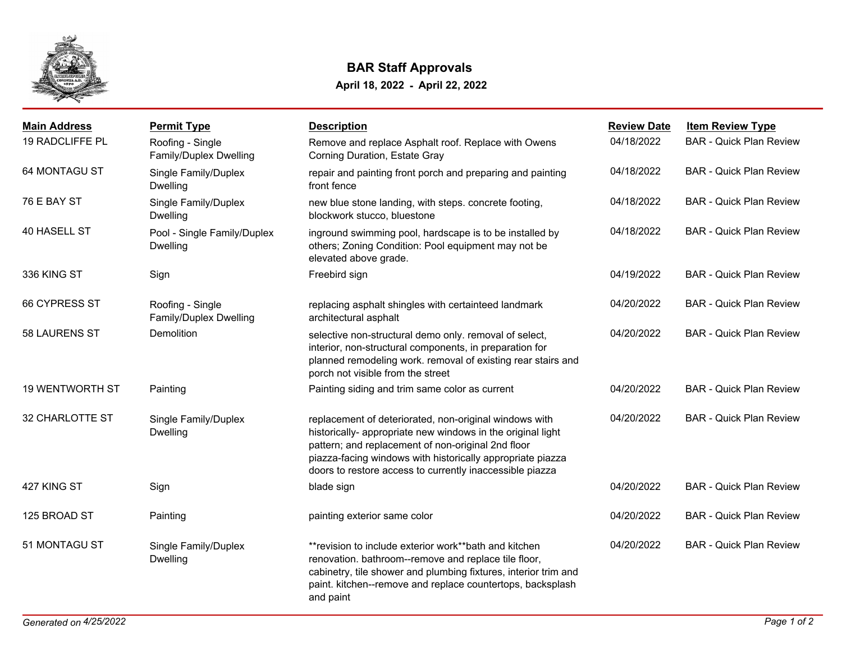

## **BAR Staff Approvals**

**April 18, 2022 - April 22, 2022**

| <b>Main Address</b>    | <b>Permit Type</b>                             | <b>Description</b>                                                                                                                                                                                                                                                                                    | <b>Review Date</b> | <b>Item Review Type</b>        |
|------------------------|------------------------------------------------|-------------------------------------------------------------------------------------------------------------------------------------------------------------------------------------------------------------------------------------------------------------------------------------------------------|--------------------|--------------------------------|
| 19 RADCLIFFE PL        | Roofing - Single<br>Family/Duplex Dwelling     | Remove and replace Asphalt roof. Replace with Owens<br>Corning Duration, Estate Gray                                                                                                                                                                                                                  | 04/18/2022         | <b>BAR - Quick Plan Review</b> |
| 64 MONTAGU ST          | Single Family/Duplex<br><b>Dwelling</b>        | repair and painting front porch and preparing and painting<br>front fence                                                                                                                                                                                                                             | 04/18/2022         | <b>BAR - Quick Plan Review</b> |
| 76 E BAY ST            | Single Family/Duplex<br><b>Dwelling</b>        | new blue stone landing, with steps. concrete footing,<br>blockwork stucco, bluestone                                                                                                                                                                                                                  | 04/18/2022         | <b>BAR - Quick Plan Review</b> |
| 40 HASELL ST           | Pool - Single Family/Duplex<br><b>Dwelling</b> | inground swimming pool, hardscape is to be installed by<br>others; Zoning Condition: Pool equipment may not be<br>elevated above grade.                                                                                                                                                               | 04/18/2022         | <b>BAR - Quick Plan Review</b> |
| 336 KING ST            | Sign                                           | Freebird sign                                                                                                                                                                                                                                                                                         | 04/19/2022         | <b>BAR - Quick Plan Review</b> |
| 66 CYPRESS ST          | Roofing - Single<br>Family/Duplex Dwelling     | replacing asphalt shingles with certainteed landmark<br>architectural asphalt                                                                                                                                                                                                                         | 04/20/2022         | <b>BAR - Quick Plan Review</b> |
| 58 LAURENS ST          | Demolition                                     | selective non-structural demo only. removal of select,<br>interior, non-structural components, in preparation for<br>planned remodeling work. removal of existing rear stairs and<br>porch not visible from the street                                                                                | 04/20/2022         | <b>BAR - Quick Plan Review</b> |
| <b>19 WENTWORTH ST</b> | Painting                                       | Painting siding and trim same color as current                                                                                                                                                                                                                                                        | 04/20/2022         | <b>BAR - Quick Plan Review</b> |
| 32 CHARLOTTE ST        | Single Family/Duplex<br><b>Dwelling</b>        | replacement of deteriorated, non-original windows with<br>historically- appropriate new windows in the original light<br>pattern; and replacement of non-original 2nd floor<br>piazza-facing windows with historically appropriate piazza<br>doors to restore access to currently inaccessible piazza | 04/20/2022         | <b>BAR - Quick Plan Review</b> |
| 427 KING ST            | Sign                                           | blade sign                                                                                                                                                                                                                                                                                            | 04/20/2022         | <b>BAR - Quick Plan Review</b> |
| 125 BROAD ST           | Painting                                       | painting exterior same color                                                                                                                                                                                                                                                                          | 04/20/2022         | <b>BAR - Quick Plan Review</b> |
| 51 MONTAGU ST          | Single Family/Duplex<br>Dwelling               | **revision to include exterior work**bath and kitchen<br>renovation. bathroom--remove and replace tile floor,<br>cabinetry, tile shower and plumbing fixtures, interior trim and<br>paint. kitchen--remove and replace countertops, backsplash<br>and paint                                           | 04/20/2022         | <b>BAR - Quick Plan Review</b> |